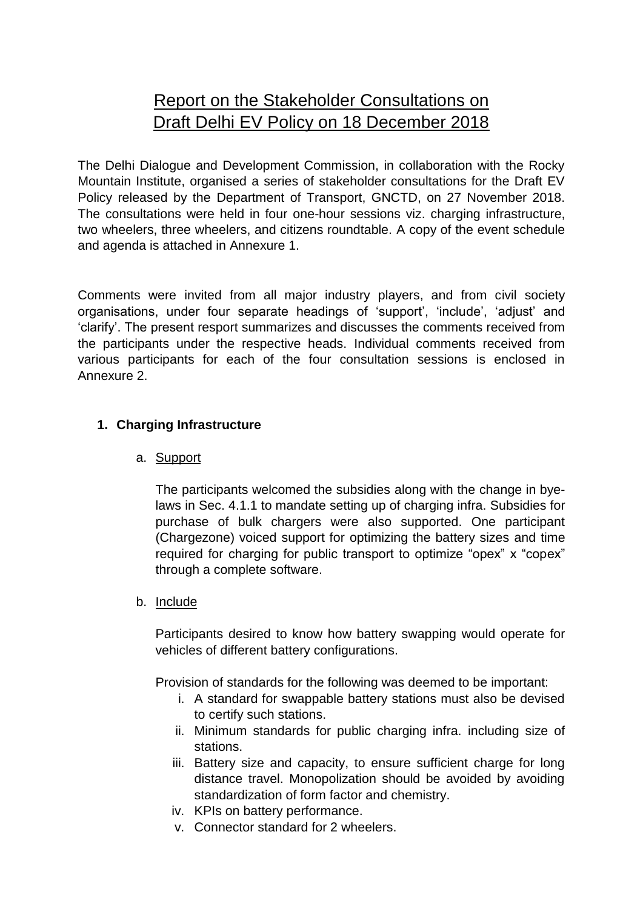# Report on the Stakeholder Consultations on Draft Delhi EV Policy on 18 December 2018

The Delhi Dialogue and Development Commission, in collaboration with the Rocky Mountain Institute, organised a series of stakeholder consultations for the Draft EV Policy released by the Department of Transport, GNCTD, on 27 November 2018. The consultations were held in four one-hour sessions viz. charging infrastructure, two wheelers, three wheelers, and citizens roundtable. A copy of the event schedule and agenda is attached in Annexure 1.

Comments were invited from all major industry players, and from civil society organisations, under four separate headings of 'support', 'include', 'adjust' and 'clarify'. The present resport summarizes and discusses the comments received from the participants under the respective heads. Individual comments received from various participants for each of the four consultation sessions is enclosed in Annexure 2.

## **1. Charging Infrastructure**

## a. Support

The participants welcomed the subsidies along with the change in byelaws in Sec. 4.1.1 to mandate setting up of charging infra. Subsidies for purchase of bulk chargers were also supported. One participant (Chargezone) voiced support for optimizing the battery sizes and time required for charging for public transport to optimize "opex" x "copex" through a complete software.

## b. Include

Participants desired to know how battery swapping would operate for vehicles of different battery configurations.

Provision of standards for the following was deemed to be important:

- i. A standard for swappable battery stations must also be devised to certify such stations.
- ii. Minimum standards for public charging infra. including size of stations.
- iii. Battery size and capacity, to ensure sufficient charge for long distance travel. Monopolization should be avoided by avoiding standardization of form factor and chemistry.
- iv. KPIs on battery performance.
- v. Connector standard for 2 wheelers.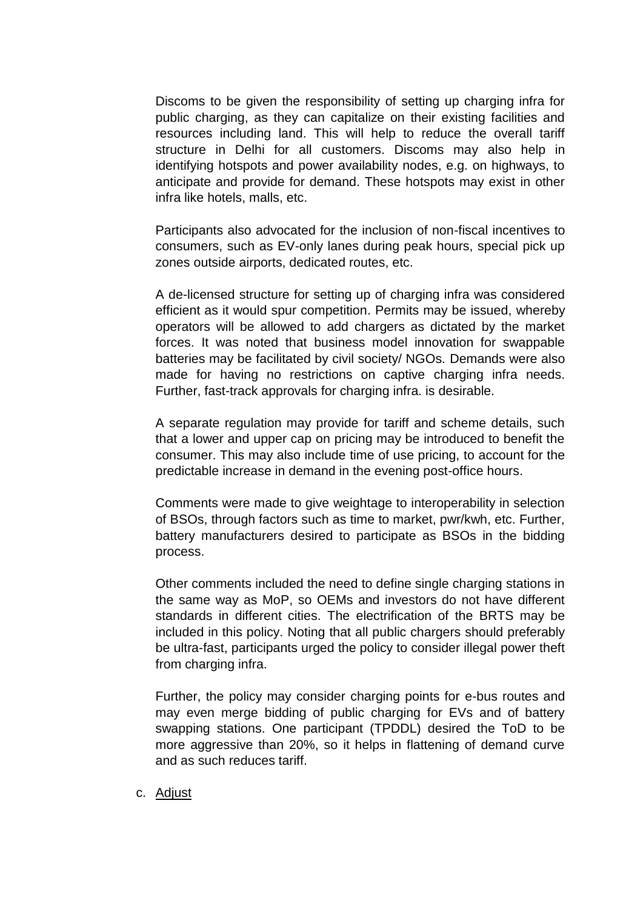Discoms to be given the responsibility of setting up charging infra for public charging, as they can capitalize on their existing facilities and resources including land. This will help to reduce the overall tariff structure in Delhi for all customers. Discoms may also help in identifying hotspots and power availability nodes, e.g. on highways, to anticipate and provide for demand. These hotspots may exist in other infra like hotels, malls, etc.

Participants also advocated for the inclusion of non-fiscal incentives to consumers, such as EV-only lanes during peak hours, special pick up zones outside airports, dedicated routes, etc.

A de-licensed structure for setting up of charging infra was considered efficient as it would spur competition. Permits may be issued, whereby operators will be allowed to add chargers as dictated by the market forces. It was noted that business model innovation for swappable batteries may be facilitated by civil society/ NGOs. Demands were also made for having no restrictions on captive charging infra needs. Further, fast-track approvals for charging infra. is desirable.

A separate regulation may provide for tariff and scheme details, such that a lower and upper cap on pricing may be introduced to benefit the consumer. This may also include time of use pricing, to account for the predictable increase in demand in the evening post-office hours.

Comments were made to give weightage to interoperability in selection of BSOs, through factors such as time to market, pwr/kwh, etc. Further, battery manufacturers desired to participate as BSOs in the bidding process.

Other comments included the need to define single charging stations in the same way as MoP, so OEMs and investors do not have different standards in different cities. The electrification of the BRTS may be included in this policy. Noting that all public chargers should preferably be ultra-fast, participants urged the policy to consider illegal power theft from charging infra.

Further, the policy may consider charging points for e-bus routes and may even merge bidding of public charging for EVs and of battery swapping stations. One participant (TPDDL) desired the ToD to be more aggressive than 20%, so it helps in flattening of demand curve and as such reduces tariff.

c. Adjust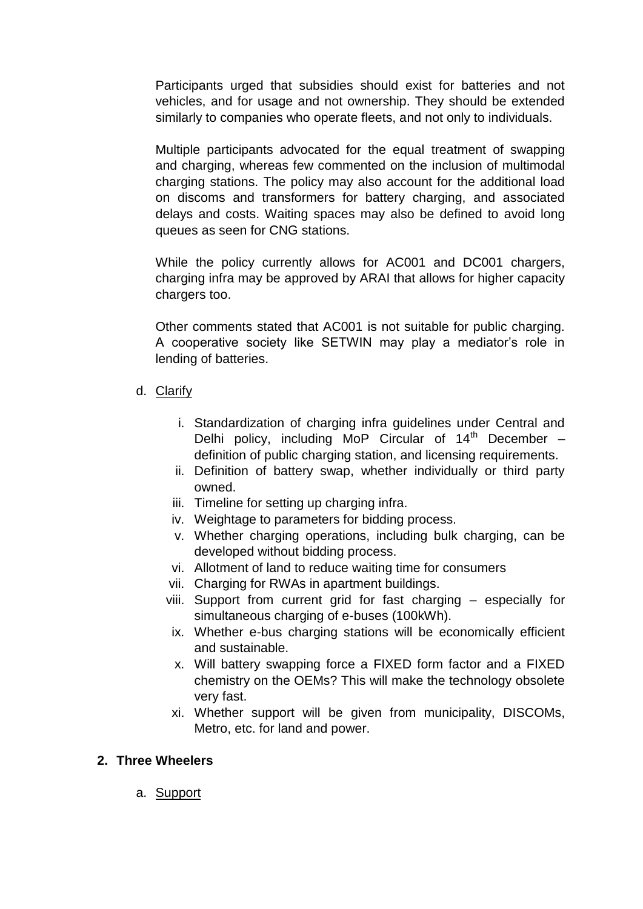Participants urged that subsidies should exist for batteries and not vehicles, and for usage and not ownership. They should be extended similarly to companies who operate fleets, and not only to individuals.

Multiple participants advocated for the equal treatment of swapping and charging, whereas few commented on the inclusion of multimodal charging stations. The policy may also account for the additional load on discoms and transformers for battery charging, and associated delays and costs. Waiting spaces may also be defined to avoid long queues as seen for CNG stations.

While the policy currently allows for AC001 and DC001 chargers, charging infra may be approved by ARAI that allows for higher capacity chargers too.

Other comments stated that AC001 is not suitable for public charging. A cooperative society like SETWIN may play a mediator's role in lending of batteries.

- d. Clarify
	- i. Standardization of charging infra guidelines under Central and Delhi policy, including MoP Circular of  $14<sup>th</sup>$  December – definition of public charging station, and licensing requirements.
	- ii. Definition of battery swap, whether individually or third party owned.
	- iii. Timeline for setting up charging infra.
	- iv. Weightage to parameters for bidding process.
	- v. Whether charging operations, including bulk charging, can be developed without bidding process.
	- vi. Allotment of land to reduce waiting time for consumers
	- vii. Charging for RWAs in apartment buildings.
	- viii. Support from current grid for fast charging especially for simultaneous charging of e-buses (100kWh).
	- ix. Whether e-bus charging stations will be economically efficient and sustainable.
	- x. Will battery swapping force a FIXED form factor and a FIXED chemistry on the OEMs? This will make the technology obsolete very fast.
	- xi. Whether support will be given from municipality, DISCOMs, Metro, etc. for land and power.

## **2. Three Wheelers**

a. Support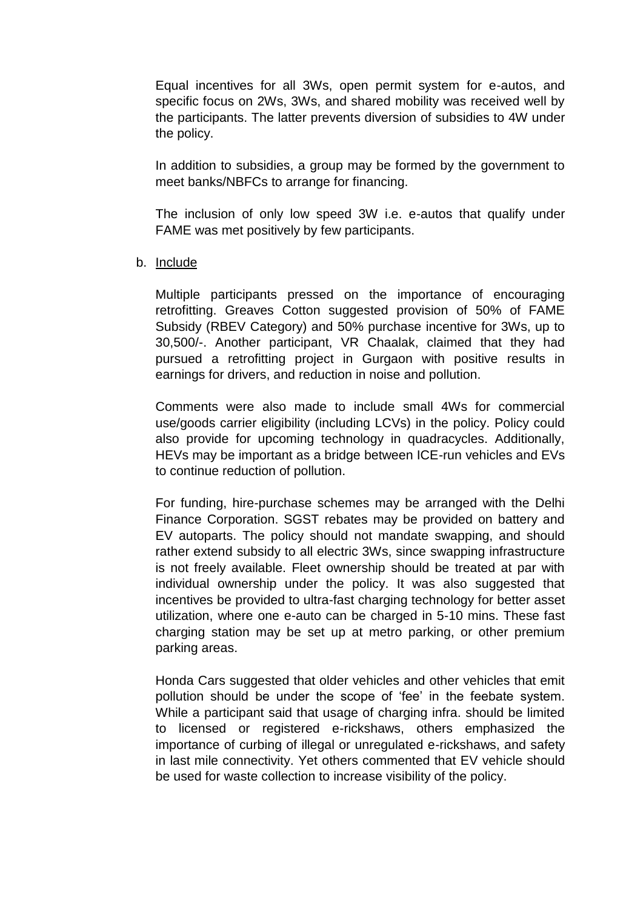Equal incentives for all 3Ws, open permit system for e-autos, and specific focus on 2Ws, 3Ws, and shared mobility was received well by the participants. The latter prevents diversion of subsidies to 4W under the policy.

In addition to subsidies, a group may be formed by the government to meet banks/NBFCs to arrange for financing.

The inclusion of only low speed 3W i.e. e-autos that qualify under FAME was met positively by few participants.

#### b. Include

Multiple participants pressed on the importance of encouraging retrofitting. Greaves Cotton suggested provision of 50% of FAME Subsidy (RBEV Category) and 50% purchase incentive for 3Ws, up to 30,500/-. Another participant, VR Chaalak, claimed that they had pursued a retrofitting project in Gurgaon with positive results in earnings for drivers, and reduction in noise and pollution.

Comments were also made to include small 4Ws for commercial use/goods carrier eligibility (including LCVs) in the policy. Policy could also provide for upcoming technology in quadracycles. Additionally, HEVs may be important as a bridge between ICE-run vehicles and EVs to continue reduction of pollution.

For funding, hire-purchase schemes may be arranged with the Delhi Finance Corporation. SGST rebates may be provided on battery and EV autoparts. The policy should not mandate swapping, and should rather extend subsidy to all electric 3Ws, since swapping infrastructure is not freely available. Fleet ownership should be treated at par with individual ownership under the policy. It was also suggested that incentives be provided to ultra-fast charging technology for better asset utilization, where one e-auto can be charged in 5-10 mins. These fast charging station may be set up at metro parking, or other premium parking areas.

Honda Cars suggested that older vehicles and other vehicles that emit pollution should be under the scope of 'fee' in the feebate system. While a participant said that usage of charging infra. should be limited to licensed or registered e-rickshaws, others emphasized the importance of curbing of illegal or unregulated e-rickshaws, and safety in last mile connectivity. Yet others commented that EV vehicle should be used for waste collection to increase visibility of the policy.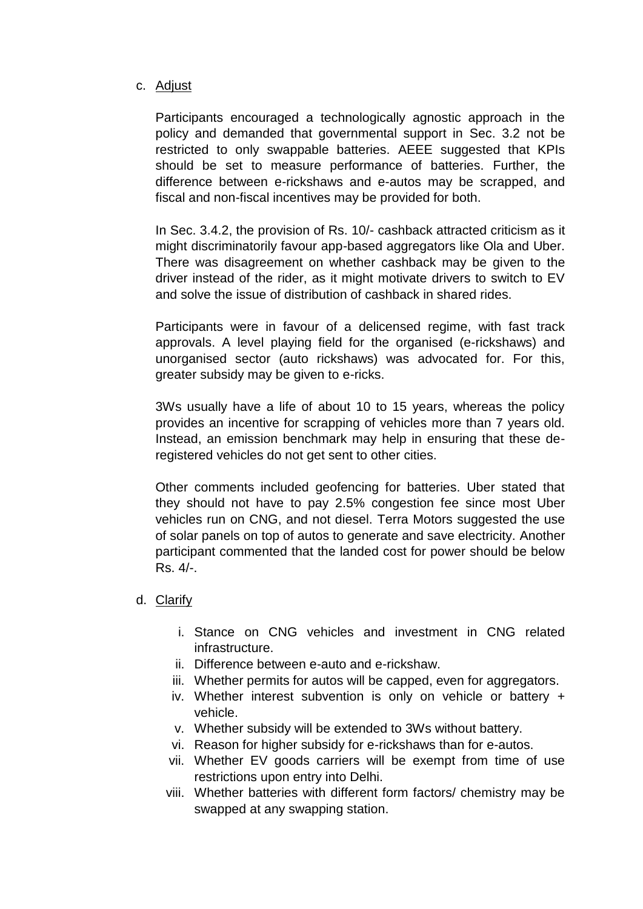#### c. Adjust

Participants encouraged a technologically agnostic approach in the policy and demanded that governmental support in Sec. 3.2 not be restricted to only swappable batteries. AEEE suggested that KPIs should be set to measure performance of batteries. Further, the difference between e-rickshaws and e-autos may be scrapped, and fiscal and non-fiscal incentives may be provided for both.

In Sec. 3.4.2, the provision of Rs. 10/- cashback attracted criticism as it might discriminatorily favour app-based aggregators like Ola and Uber. There was disagreement on whether cashback may be given to the driver instead of the rider, as it might motivate drivers to switch to EV and solve the issue of distribution of cashback in shared rides.

Participants were in favour of a delicensed regime, with fast track approvals. A level playing field for the organised (e-rickshaws) and unorganised sector (auto rickshaws) was advocated for. For this, greater subsidy may be given to e-ricks.

3Ws usually have a life of about 10 to 15 years, whereas the policy provides an incentive for scrapping of vehicles more than 7 years old. Instead, an emission benchmark may help in ensuring that these deregistered vehicles do not get sent to other cities.

Other comments included geofencing for batteries. Uber stated that they should not have to pay 2.5% congestion fee since most Uber vehicles run on CNG, and not diesel. Terra Motors suggested the use of solar panels on top of autos to generate and save electricity. Another participant commented that the landed cost for power should be below Rs. 4/-.

## d. Clarify

- i. Stance on CNG vehicles and investment in CNG related infrastructure.
- ii. Difference between e-auto and e-rickshaw.
- iii. Whether permits for autos will be capped, even for aggregators.
- iv. Whether interest subvention is only on vehicle or battery + vehicle.
- v. Whether subsidy will be extended to 3Ws without battery.
- vi. Reason for higher subsidy for e-rickshaws than for e-autos.
- vii. Whether EV goods carriers will be exempt from time of use restrictions upon entry into Delhi.
- viii. Whether batteries with different form factors/ chemistry may be swapped at any swapping station.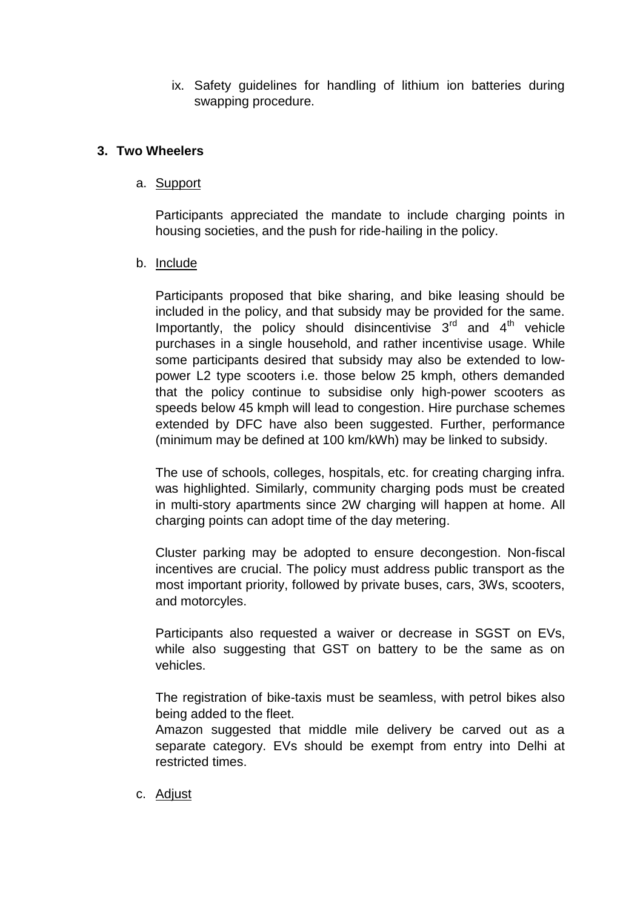ix. Safety guidelines for handling of lithium ion batteries during swapping procedure.

## **3. Two Wheelers**

#### a. Support

Participants appreciated the mandate to include charging points in housing societies, and the push for ride-hailing in the policy.

### b. Include

Participants proposed that bike sharing, and bike leasing should be included in the policy, and that subsidy may be provided for the same. Importantly, the policy should disincentivise  $3^{rd}$  and  $4^{th}$  vehicle purchases in a single household, and rather incentivise usage. While some participants desired that subsidy may also be extended to lowpower L2 type scooters i.e. those below 25 kmph, others demanded that the policy continue to subsidise only high-power scooters as speeds below 45 kmph will lead to congestion. Hire purchase schemes extended by DFC have also been suggested. Further, performance (minimum may be defined at 100 km/kWh) may be linked to subsidy.

The use of schools, colleges, hospitals, etc. for creating charging infra. was highlighted. Similarly, community charging pods must be created in multi-story apartments since 2W charging will happen at home. All charging points can adopt time of the day metering.

Cluster parking may be adopted to ensure decongestion. Non-fiscal incentives are crucial. The policy must address public transport as the most important priority, followed by private buses, cars, 3Ws, scooters, and motorcyles.

Participants also requested a waiver or decrease in SGST on EVs, while also suggesting that GST on battery to be the same as on vehicles.

The registration of bike-taxis must be seamless, with petrol bikes also being added to the fleet.

Amazon suggested that middle mile delivery be carved out as a separate category. EVs should be exempt from entry into Delhi at restricted times.

c. Adjust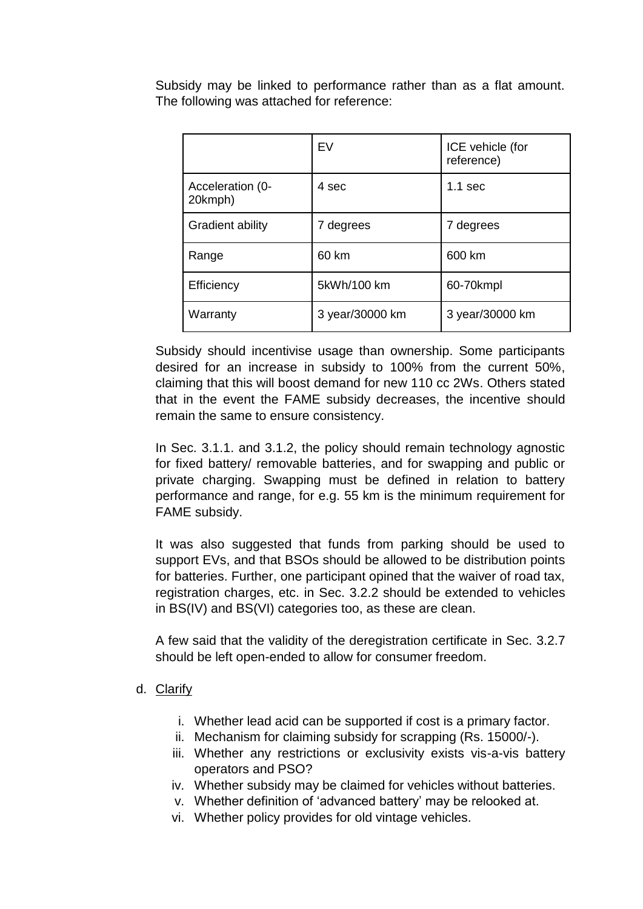Subsidy may be linked to performance rather than as a flat amount. The following was attached for reference:

|                             | EV              | ICE vehicle (for<br>reference) |
|-----------------------------|-----------------|--------------------------------|
| Acceleration (0-<br>20kmph) | 4 sec           | $1.1$ sec                      |
| Gradient ability            | 7 degrees       | 7 degrees                      |
| Range                       | 60 km           | 600 km                         |
| Efficiency                  | 5kWh/100 km     | 60-70kmpl                      |
| Warranty                    | 3 year/30000 km | 3 year/30000 km                |

Subsidy should incentivise usage than ownership. Some participants desired for an increase in subsidy to 100% from the current 50%, claiming that this will boost demand for new 110 cc 2Ws. Others stated that in the event the FAME subsidy decreases, the incentive should remain the same to ensure consistency.

In Sec. 3.1.1. and 3.1.2, the policy should remain technology agnostic for fixed battery/ removable batteries, and for swapping and public or private charging. Swapping must be defined in relation to battery performance and range, for e.g. 55 km is the minimum requirement for FAME subsidy.

It was also suggested that funds from parking should be used to support EVs, and that BSOs should be allowed to be distribution points for batteries. Further, one participant opined that the waiver of road tax, registration charges, etc. in Sec. 3.2.2 should be extended to vehicles in BS(IV) and BS(VI) categories too, as these are clean.

A few said that the validity of the deregistration certificate in Sec. 3.2.7 should be left open-ended to allow for consumer freedom.

#### d. Clarify

- i. Whether lead acid can be supported if cost is a primary factor.
- ii. Mechanism for claiming subsidy for scrapping (Rs. 15000/-).
- iii. Whether any restrictions or exclusivity exists vis-a-vis battery operators and PSO?
- iv. Whether subsidy may be claimed for vehicles without batteries.
- v. Whether definition of 'advanced battery' may be relooked at.
- vi. Whether policy provides for old vintage vehicles.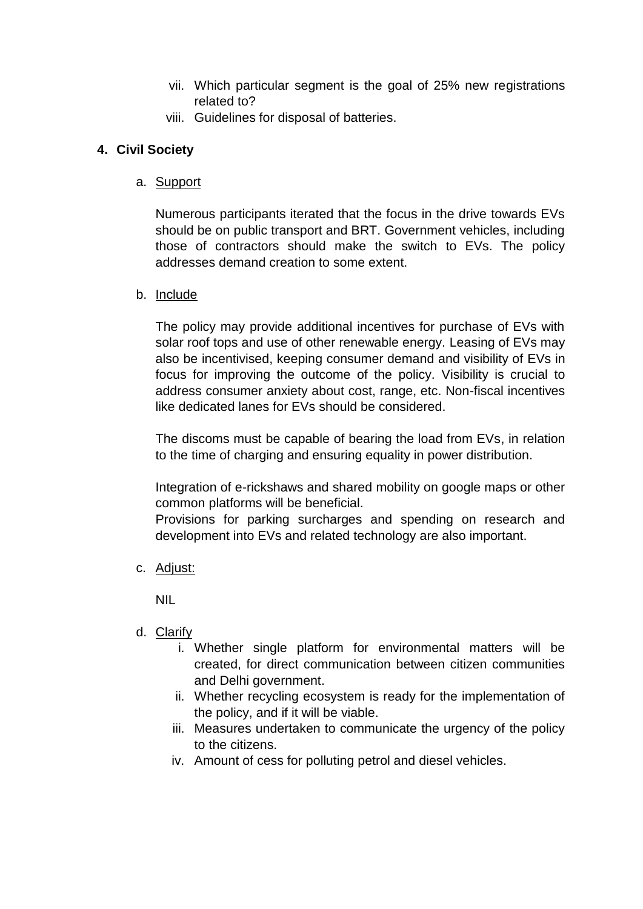- vii. Which particular segment is the goal of 25% new registrations related to?
- viii. Guidelines for disposal of batteries.

## **4. Civil Society**

a. Support

Numerous participants iterated that the focus in the drive towards EVs should be on public transport and BRT. Government vehicles, including those of contractors should make the switch to EVs. The policy addresses demand creation to some extent.

b. Include

The policy may provide additional incentives for purchase of EVs with solar roof tops and use of other renewable energy. Leasing of EVs may also be incentivised, keeping consumer demand and visibility of EVs in focus for improving the outcome of the policy. Visibility is crucial to address consumer anxiety about cost, range, etc. Non-fiscal incentives like dedicated lanes for EVs should be considered.

The discoms must be capable of bearing the load from EVs, in relation to the time of charging and ensuring equality in power distribution.

Integration of e-rickshaws and shared mobility on google maps or other common platforms will be beneficial.

Provisions for parking surcharges and spending on research and development into EVs and related technology are also important.

c. Adjust:

NIL

- d. Clarify
	- i. Whether single platform for environmental matters will be created, for direct communication between citizen communities and Delhi government.
	- ii. Whether recycling ecosystem is ready for the implementation of the policy, and if it will be viable.
	- iii. Measures undertaken to communicate the urgency of the policy to the citizens.
	- iv. Amount of cess for polluting petrol and diesel vehicles.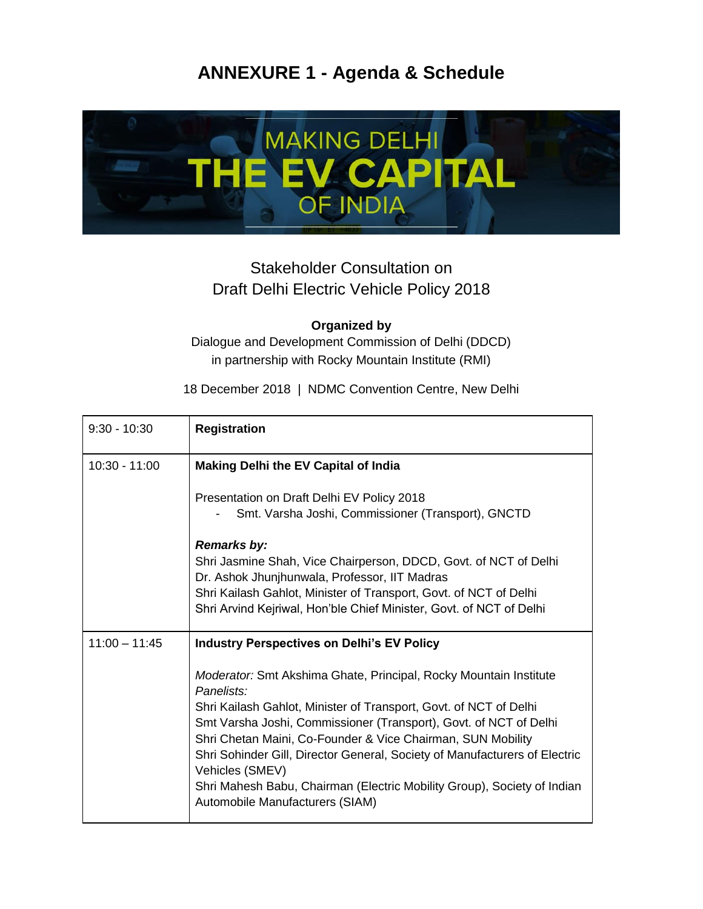# **ANNEXURE 1 - Agenda & Schedule**



## Stakeholder Consultation on Draft Delhi Electric Vehicle Policy 2018

#### **Organized by**

Dialogue and Development Commission of Delhi (DDCD) in partnership with Rocky Mountain Institute (RMI)

18 December 2018 | NDMC Convention Centre, New Delhi

| $9:30 - 10:30$  | <b>Registration</b>                                                                                                                                                                                                                                                                                                                                                                                                                                                                                     |
|-----------------|---------------------------------------------------------------------------------------------------------------------------------------------------------------------------------------------------------------------------------------------------------------------------------------------------------------------------------------------------------------------------------------------------------------------------------------------------------------------------------------------------------|
| $10:30 - 11:00$ | <b>Making Delhi the EV Capital of India</b>                                                                                                                                                                                                                                                                                                                                                                                                                                                             |
|                 | Presentation on Draft Delhi EV Policy 2018<br>Smt. Varsha Joshi, Commissioner (Transport), GNCTD                                                                                                                                                                                                                                                                                                                                                                                                        |
|                 | <b>Remarks by:</b><br>Shri Jasmine Shah, Vice Chairperson, DDCD, Govt. of NCT of Delhi<br>Dr. Ashok Jhunjhunwala, Professor, IIT Madras<br>Shri Kailash Gahlot, Minister of Transport, Govt. of NCT of Delhi<br>Shri Arvind Kejriwal, Hon'ble Chief Minister, Govt. of NCT of Delhi                                                                                                                                                                                                                     |
| $11:00 - 11:45$ | <b>Industry Perspectives on Delhi's EV Policy</b>                                                                                                                                                                                                                                                                                                                                                                                                                                                       |
|                 | Moderator: Smt Akshima Ghate, Principal, Rocky Mountain Institute<br>Panelists:<br>Shri Kailash Gahlot, Minister of Transport, Govt. of NCT of Delhi<br>Smt Varsha Joshi, Commissioner (Transport), Govt. of NCT of Delhi<br>Shri Chetan Maini, Co-Founder & Vice Chairman, SUN Mobility<br>Shri Sohinder Gill, Director General, Society of Manufacturers of Electric<br>Vehicles (SMEV)<br>Shri Mahesh Babu, Chairman (Electric Mobility Group), Society of Indian<br>Automobile Manufacturers (SIAM) |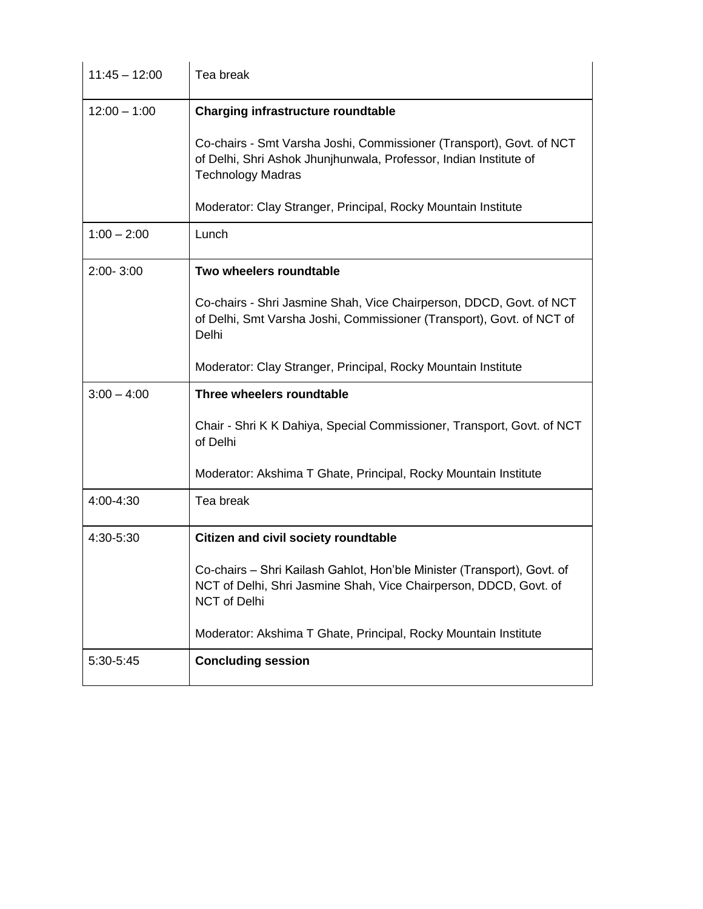| $11:45 - 12:00$ | Tea break                                                                                                                                                             |
|-----------------|-----------------------------------------------------------------------------------------------------------------------------------------------------------------------|
| $12:00 - 1:00$  | Charging infrastructure roundtable                                                                                                                                    |
|                 | Co-chairs - Smt Varsha Joshi, Commissioner (Transport), Govt. of NCT<br>of Delhi, Shri Ashok Jhunjhunwala, Professor, Indian Institute of<br><b>Technology Madras</b> |
|                 | Moderator: Clay Stranger, Principal, Rocky Mountain Institute                                                                                                         |
| $1:00 - 2:00$   | Lunch                                                                                                                                                                 |
| $2:00 - 3:00$   | Two wheelers roundtable                                                                                                                                               |
|                 | Co-chairs - Shri Jasmine Shah, Vice Chairperson, DDCD, Govt. of NCT<br>of Delhi, Smt Varsha Joshi, Commissioner (Transport), Govt. of NCT of<br>Delhi                 |
|                 | Moderator: Clay Stranger, Principal, Rocky Mountain Institute                                                                                                         |
| $3:00 - 4:00$   | Three wheelers roundtable                                                                                                                                             |
|                 | Chair - Shri K K Dahiya, Special Commissioner, Transport, Govt. of NCT<br>of Delhi                                                                                    |
|                 | Moderator: Akshima T Ghate, Principal, Rocky Mountain Institute                                                                                                       |
| 4:00-4:30       | Tea break                                                                                                                                                             |
| 4:30-5:30       | <b>Citizen and civil society roundtable</b>                                                                                                                           |
|                 | Co-chairs - Shri Kailash Gahlot, Hon'ble Minister (Transport), Govt. of<br>NCT of Delhi, Shri Jasmine Shah, Vice Chairperson, DDCD, Govt. of<br>NCT of Delhi          |
|                 | Moderator: Akshima T Ghate, Principal, Rocky Mountain Institute                                                                                                       |
| 5:30-5:45       | <b>Concluding session</b>                                                                                                                                             |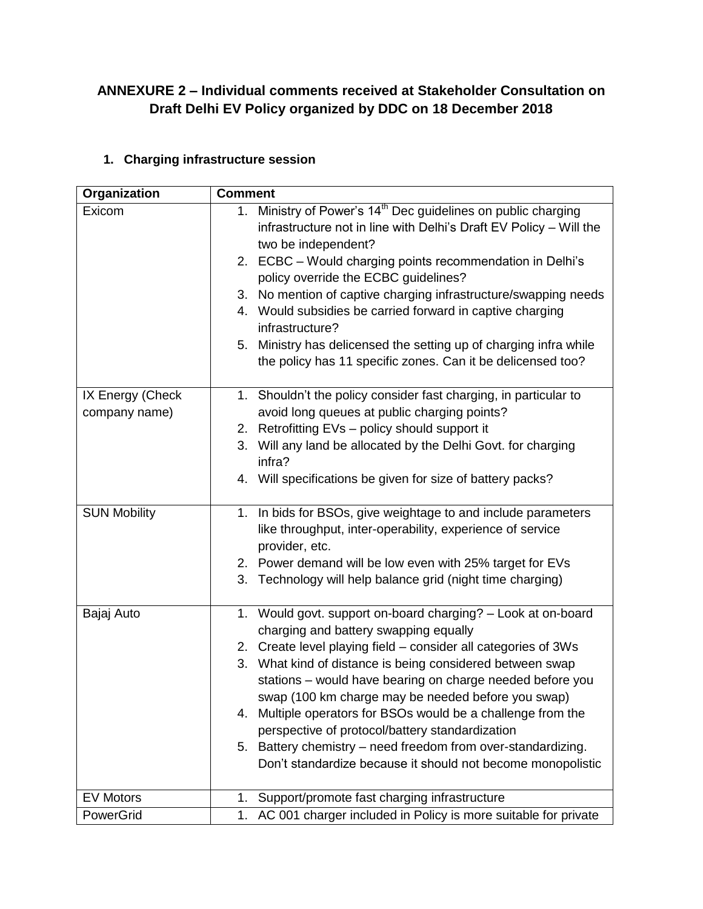## **ANNEXURE 2 – Individual comments received at Stakeholder Consultation on Draft Delhi EV Policy organized by DDC on 18 December 2018**

## **1. Charging infrastructure session**

| Organization                      | <b>Comment</b>                                                                                                                                                               |  |  |
|-----------------------------------|------------------------------------------------------------------------------------------------------------------------------------------------------------------------------|--|--|
| Exicom                            | 1. Ministry of Power's 14 <sup>th</sup> Dec guidelines on public charging<br>infrastructure not in line with Delhi's Draft EV Policy - Will the<br>two be independent?       |  |  |
|                                   | 2. ECBC - Would charging points recommendation in Delhi's<br>policy override the ECBC guidelines?                                                                            |  |  |
|                                   | 3. No mention of captive charging infrastructure/swapping needs                                                                                                              |  |  |
|                                   | 4. Would subsidies be carried forward in captive charging<br>infrastructure?                                                                                                 |  |  |
|                                   | 5. Ministry has delicensed the setting up of charging infra while<br>the policy has 11 specific zones. Can it be delicensed too?                                             |  |  |
| IX Energy (Check<br>company name) | 1. Shouldn't the policy consider fast charging, in particular to<br>avoid long queues at public charging points?                                                             |  |  |
|                                   | 2. Retrofitting EVs - policy should support it                                                                                                                               |  |  |
|                                   | 3. Will any land be allocated by the Delhi Govt. for charging<br>infra?                                                                                                      |  |  |
|                                   | 4. Will specifications be given for size of battery packs?                                                                                                                   |  |  |
| <b>SUN Mobility</b>               | 1. In bids for BSOs, give weightage to and include parameters<br>like throughput, inter-operability, experience of service<br>provider, etc.                                 |  |  |
|                                   | 2. Power demand will be low even with 25% target for EVs                                                                                                                     |  |  |
|                                   | 3. Technology will help balance grid (night time charging)                                                                                                                   |  |  |
| Bajaj Auto                        | 1. Would govt. support on-board charging? - Look at on-board<br>charging and battery swapping equally                                                                        |  |  |
|                                   | 2. Create level playing field - consider all categories of 3Ws                                                                                                               |  |  |
|                                   | 3. What kind of distance is being considered between swap<br>stations - would have bearing on charge needed before you<br>swap (100 km charge may be needed before you swap) |  |  |
|                                   | 4. Multiple operators for BSOs would be a challenge from the                                                                                                                 |  |  |
|                                   | perspective of protocol/battery standardization                                                                                                                              |  |  |
|                                   | 5. Battery chemistry - need freedom from over-standardizing.                                                                                                                 |  |  |
|                                   | Don't standardize because it should not become monopolistic                                                                                                                  |  |  |
| <b>EV Motors</b>                  | Support/promote fast charging infrastructure<br>1.                                                                                                                           |  |  |
| PowerGrid                         | AC 001 charger included in Policy is more suitable for private<br>1.                                                                                                         |  |  |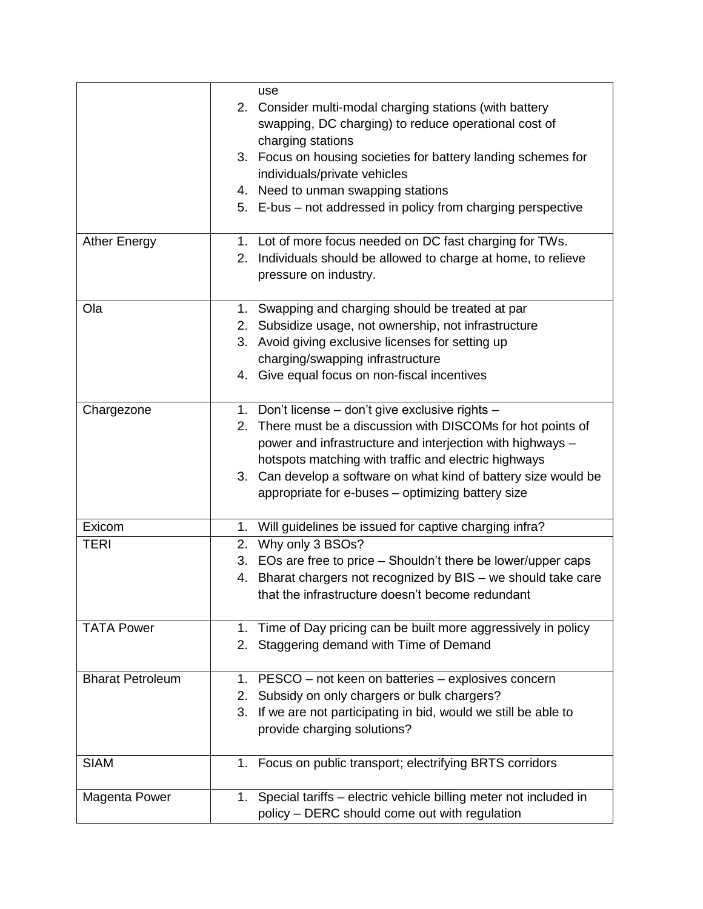|                         | use                                                                 |
|-------------------------|---------------------------------------------------------------------|
|                         | 2. Consider multi-modal charging stations (with battery             |
|                         | swapping, DC charging) to reduce operational cost of                |
|                         | charging stations                                                   |
|                         | 3. Focus on housing societies for battery landing schemes for       |
|                         | individuals/private vehicles                                        |
|                         | 4. Need to unman swapping stations                                  |
|                         | 5. E-bus – not addressed in policy from charging perspective        |
|                         |                                                                     |
| <b>Ather Energy</b>     | 1. Lot of more focus needed on DC fast charging for TWs.            |
|                         | 2. Individuals should be allowed to charge at home, to relieve      |
|                         | pressure on industry.                                               |
|                         |                                                                     |
| Ola                     | 1. Swapping and charging should be treated at par                   |
|                         | 2. Subsidize usage, not ownership, not infrastructure               |
|                         | 3. Avoid giving exclusive licenses for setting up                   |
|                         | charging/swapping infrastructure                                    |
|                         | 4. Give equal focus on non-fiscal incentives                        |
|                         |                                                                     |
| Chargezone              | 1. Don't license - don't give exclusive rights -                    |
|                         | 2. There must be a discussion with DISCOMs for hot points of        |
|                         | power and infrastructure and interjection with highways -           |
|                         | hotspots matching with traffic and electric highways                |
|                         | 3. Can develop a software on what kind of battery size would be     |
|                         | appropriate for e-buses - optimizing battery size                   |
|                         |                                                                     |
| Exicom                  | 1. Will guidelines be issued for captive charging infra?            |
| <b>TERI</b>             | 2. Why only 3 BSOs?                                                 |
|                         | 3. EOs are free to price – Shouldn't there be lower/upper caps      |
|                         | 4. Bharat chargers not recognized by BIS - we should take care      |
|                         | that the infrastructure doesn't become redundant                    |
|                         |                                                                     |
| <b>TATA Power</b>       | 1. Time of Day pricing can be built more aggressively in policy     |
|                         | 2. Staggering demand with Time of Demand                            |
|                         |                                                                     |
| <b>Bharat Petroleum</b> | 1. PESCO - not keen on batteries - explosives concern               |
|                         | 2. Subsidy on only chargers or bulk chargers?                       |
|                         | 3. If we are not participating in bid, would we still be able to    |
|                         | provide charging solutions?                                         |
|                         |                                                                     |
| <b>SIAM</b>             | 1. Focus on public transport; electrifying BRTS corridors           |
|                         |                                                                     |
| Magenta Power           | 1. Special tariffs - electric vehicle billing meter not included in |
|                         | policy - DERC should come out with regulation                       |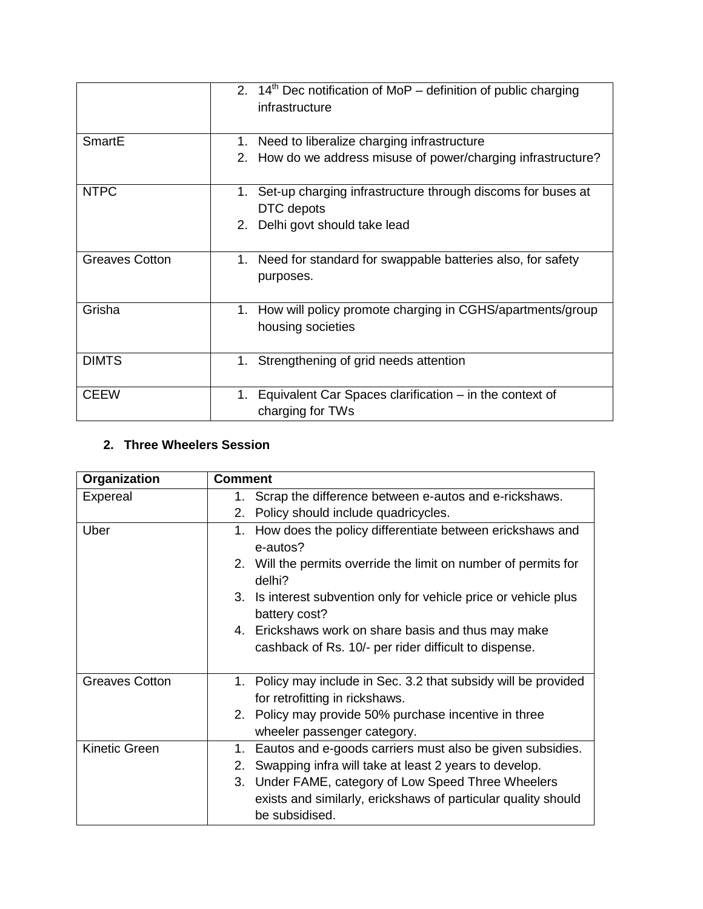|                       | 2. $14th$ Dec notification of MoP – definition of public charging<br>infrastructure |
|-----------------------|-------------------------------------------------------------------------------------|
| SmartE                | 1. Need to liberalize charging infrastructure                                       |
|                       | 2. How do we address misuse of power/charging infrastructure?                       |
| <b>NTPC</b>           | 1. Set-up charging infrastructure through discoms for buses at<br>DTC depots        |
|                       | 2. Delhi govt should take lead                                                      |
| <b>Greaves Cotton</b> | 1. Need for standard for swappable batteries also, for safety<br>purposes.          |
| Grisha                | 1. How will policy promote charging in CGHS/apartments/group<br>housing societies   |
| <b>DIMTS</b>          | 1. Strengthening of grid needs attention                                            |
| <b>CEEW</b>           | Equivalent Car Spaces clarification – in the context of<br>1.<br>charging for TWs   |

#### **2. Three Wheelers Session**

| Organization          | <b>Comment</b>                                                                                    |
|-----------------------|---------------------------------------------------------------------------------------------------|
| Expereal              | 1. Scrap the difference between e-autos and e-rickshaws.                                          |
|                       | 2. Policy should include quadricycles.                                                            |
| Uber                  | How does the policy differentiate between erickshaws and<br>1.<br>e-autos?                        |
|                       | 2. Will the permits override the limit on number of permits for<br>delhi?                         |
|                       | 3. Is interest subvention only for vehicle price or vehicle plus<br>battery cost?                 |
|                       | 4. Erickshaws work on share basis and thus may make                                               |
|                       | cashback of Rs. 10/- per rider difficult to dispense.                                             |
|                       |                                                                                                   |
| <b>Greaves Cotton</b> | 1. Policy may include in Sec. 3.2 that subsidy will be provided<br>for retrofitting in rickshaws. |
|                       | 2. Policy may provide 50% purchase incentive in three                                             |
|                       | wheeler passenger category.                                                                       |
| <b>Kinetic Green</b>  | Eautos and e-goods carriers must also be given subsidies.<br>1.                                   |
|                       | Swapping infra will take at least 2 years to develop.<br>2.                                       |
|                       | 3. Under FAME, category of Low Speed Three Wheelers                                               |
|                       | exists and similarly, erickshaws of particular quality should                                     |
|                       | be subsidised.                                                                                    |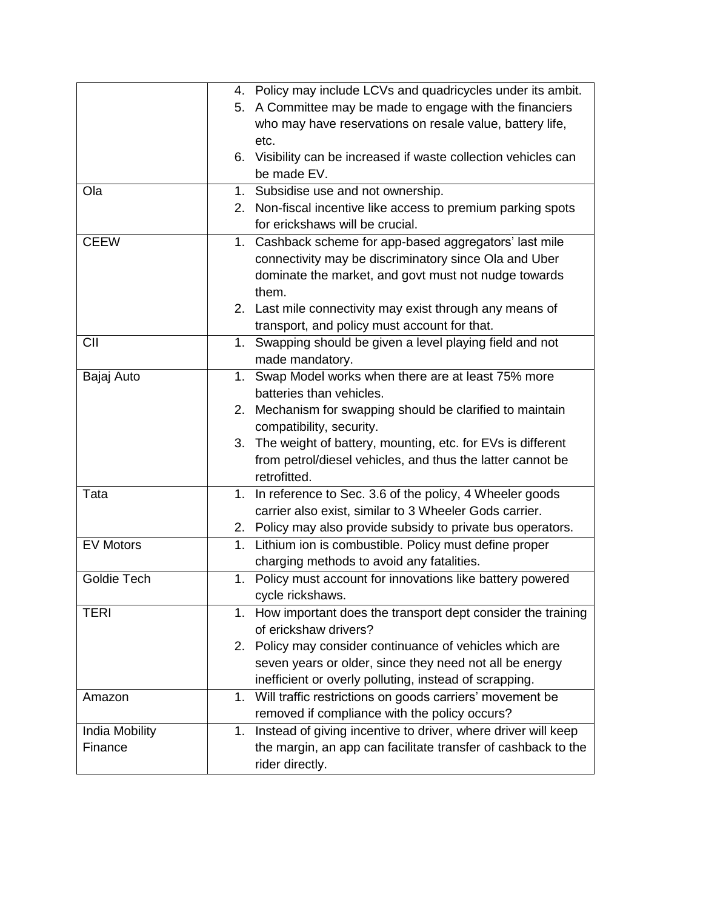|                  |                | 4. Policy may include LCVs and quadricycles under its ambit.    |
|------------------|----------------|-----------------------------------------------------------------|
|                  |                | 5. A Committee may be made to engage with the financiers        |
|                  |                | who may have reservations on resale value, battery life,        |
|                  |                | etc.                                                            |
|                  |                | 6. Visibility can be increased if waste collection vehicles can |
|                  |                | be made EV.                                                     |
| Ola              |                | 1. Subsidise use and not ownership.                             |
|                  | 2.             | Non-fiscal incentive like access to premium parking spots       |
|                  |                | for erickshaws will be crucial.                                 |
| <b>CEEW</b>      | 1.             | Cashback scheme for app-based aggregators' last mile            |
|                  |                | connectivity may be discriminatory since Ola and Uber           |
|                  |                | dominate the market, and govt must not nudge towards            |
|                  |                | them.                                                           |
|                  |                | 2. Last mile connectivity may exist through any means of        |
|                  |                | transport, and policy must account for that.                    |
| <b>CII</b>       | 1.             | Swapping should be given a level playing field and not          |
|                  |                | made mandatory.                                                 |
| Bajaj Auto       | 1.             | Swap Model works when there are at least 75% more               |
|                  |                | batteries than vehicles.                                        |
|                  | 2.             | Mechanism for swapping should be clarified to maintain          |
|                  |                | compatibility, security.                                        |
|                  |                | 3. The weight of battery, mounting, etc. for EVs is different   |
|                  |                | from petrol/diesel vehicles, and thus the latter cannot be      |
|                  |                | retrofitted.                                                    |
| Tata             | 1.             | In reference to Sec. 3.6 of the policy, 4 Wheeler goods         |
|                  |                | carrier also exist, similar to 3 Wheeler Gods carrier.          |
|                  |                | 2. Policy may also provide subsidy to private bus operators.    |
| <b>EV Motors</b> | 1.             | Lithium ion is combustible. Policy must define proper           |
|                  |                | charging methods to avoid any fatalities.                       |
| Goldie Tech      | 1 <sub>1</sub> | Policy must account for innovations like battery powered        |
|                  |                | cycle rickshaws.                                                |
| <b>TERI</b>      | 1.             | How important does the transport dept consider the training     |
|                  |                | of erickshaw drivers?                                           |
|                  | 2.             | Policy may consider continuance of vehicles which are           |
|                  |                | seven years or older, since they need not all be energy         |
|                  |                | inefficient or overly polluting, instead of scrapping.          |
| Amazon           | 1.             | Will traffic restrictions on goods carriers' movement be        |
|                  |                | removed if compliance with the policy occurs?                   |
| India Mobility   | 1.             | Instead of giving incentive to driver, where driver will keep   |
| Finance          |                | the margin, an app can facilitate transfer of cashback to the   |
|                  |                | rider directly.                                                 |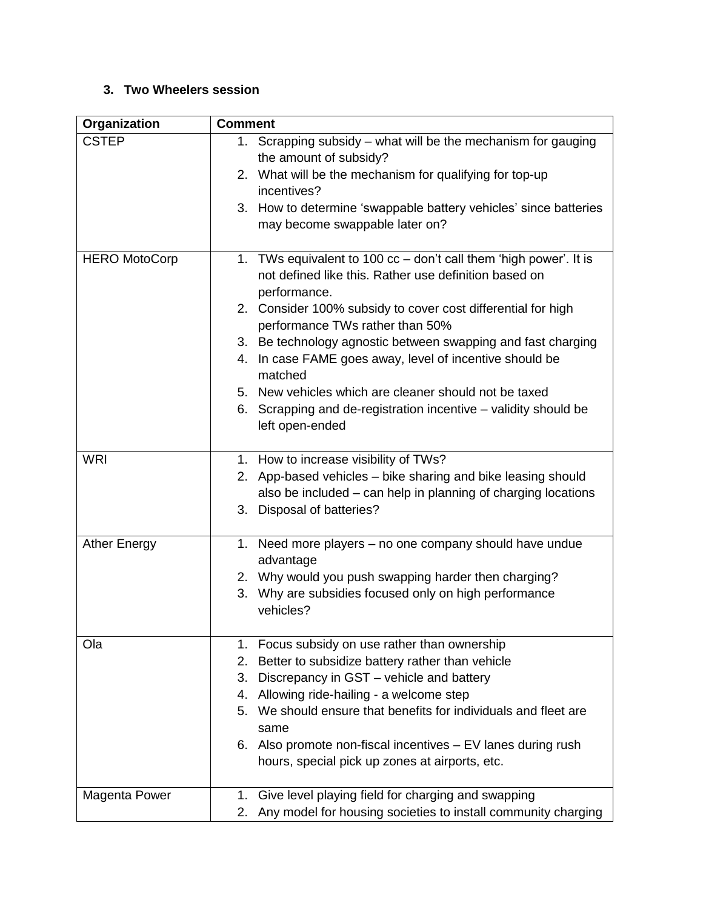## **3. Two Wheelers session**

| Organization         | <b>Comment</b>                                                      |  |  |
|----------------------|---------------------------------------------------------------------|--|--|
| <b>CSTEP</b>         | 1. Scrapping subsidy - what will be the mechanism for gauging       |  |  |
|                      | the amount of subsidy?                                              |  |  |
|                      | 2. What will be the mechanism for qualifying for top-up             |  |  |
|                      | incentives?                                                         |  |  |
|                      | 3. How to determine 'swappable battery vehicles' since batteries    |  |  |
|                      | may become swappable later on?                                      |  |  |
|                      |                                                                     |  |  |
| <b>HERO MotoCorp</b> | 1. TWs equivalent to 100 cc - don't call them 'high power'. It is   |  |  |
|                      | not defined like this. Rather use definition based on               |  |  |
|                      | performance.                                                        |  |  |
|                      | 2. Consider 100% subsidy to cover cost differential for high        |  |  |
|                      | performance TWs rather than 50%                                     |  |  |
|                      | 3. Be technology agnostic between swapping and fast charging        |  |  |
|                      | 4. In case FAME goes away, level of incentive should be             |  |  |
|                      | matched                                                             |  |  |
|                      | 5. New vehicles which are cleaner should not be taxed               |  |  |
|                      | 6. Scrapping and de-registration incentive - validity should be     |  |  |
|                      | left open-ended                                                     |  |  |
|                      |                                                                     |  |  |
| <b>WRI</b>           | 1. How to increase visibility of TWs?                               |  |  |
|                      | 2. App-based vehicles - bike sharing and bike leasing should        |  |  |
|                      | also be included - can help in planning of charging locations       |  |  |
|                      | 3. Disposal of batteries?                                           |  |  |
| <b>Ather Energy</b>  | 1. Need more players – no one company should have undue             |  |  |
|                      | advantage                                                           |  |  |
|                      | 2. Why would you push swapping harder then charging?                |  |  |
|                      | 3. Why are subsidies focused only on high performance               |  |  |
|                      | vehicles?                                                           |  |  |
|                      |                                                                     |  |  |
| Ola                  | Focus subsidy on use rather than ownership<br>1.                    |  |  |
|                      | Better to subsidize battery rather than vehicle<br>2.               |  |  |
|                      | 3. Discrepancy in GST - vehicle and battery                         |  |  |
|                      | 4. Allowing ride-hailing - a welcome step                           |  |  |
|                      | 5. We should ensure that benefits for individuals and fleet are     |  |  |
|                      | same                                                                |  |  |
|                      | 6. Also promote non-fiscal incentives - EV lanes during rush        |  |  |
|                      | hours, special pick up zones at airports, etc.                      |  |  |
|                      |                                                                     |  |  |
| Magenta Power        | Give level playing field for charging and swapping<br>1.            |  |  |
|                      | Any model for housing societies to install community charging<br>2. |  |  |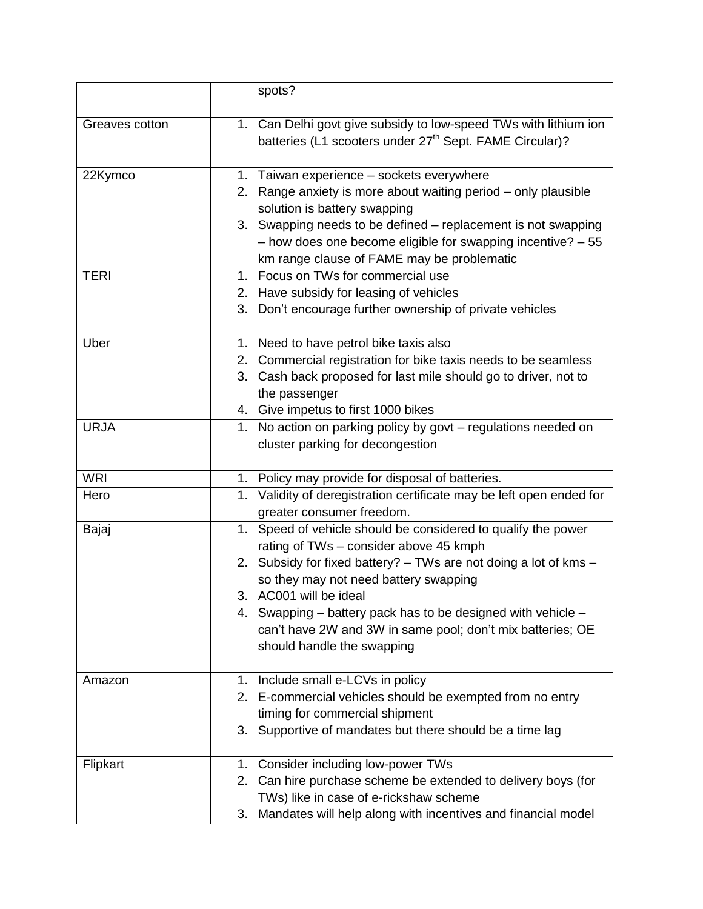|                | spots?                                                                                                                                  |
|----------------|-----------------------------------------------------------------------------------------------------------------------------------------|
| Greaves cotton | 1. Can Delhi govt give subsidy to low-speed TWs with lithium ion<br>batteries (L1 scooters under 27 <sup>th</sup> Sept. FAME Circular)? |
| 22Kymco        | 1. Taiwan experience - sockets everywhere<br>2. Range anxiety is more about waiting period – only plausible                             |
|                | solution is battery swapping                                                                                                            |
|                | 3. Swapping needs to be defined - replacement is not swapping                                                                           |
|                | $-$ how does one become eligible for swapping incentive? $-55$<br>km range clause of FAME may be problematic                            |
| <b>TERI</b>    | 1. Focus on TWs for commercial use                                                                                                      |
|                | 2. Have subsidy for leasing of vehicles                                                                                                 |
|                | 3. Don't encourage further ownership of private vehicles                                                                                |
|                |                                                                                                                                         |
| Uber           | 1. Need to have petrol bike taxis also                                                                                                  |
|                | 2. Commercial registration for bike taxis needs to be seamless                                                                          |
|                | 3. Cash back proposed for last mile should go to driver, not to                                                                         |
|                | the passenger<br>4. Give impetus to first 1000 bikes                                                                                    |
| <b>URJA</b>    | 1. No action on parking policy by govt - regulations needed on                                                                          |
|                | cluster parking for decongestion                                                                                                        |
|                |                                                                                                                                         |
| <b>WRI</b>     | 1. Policy may provide for disposal of batteries.                                                                                        |
| Hero           | 1. Validity of deregistration certificate may be left open ended for                                                                    |
|                | greater consumer freedom.                                                                                                               |
| Bajaj          | 1. Speed of vehicle should be considered to qualify the power                                                                           |
|                | rating of TWs - consider above 45 kmph                                                                                                  |
|                | 2. Subsidy for fixed battery? - TWs are not doing a lot of kms -<br>so they may not need battery swapping                               |
|                | AC001 will be ideal                                                                                                                     |
|                | 4. Swapping – battery pack has to be designed with vehicle –                                                                            |
|                | can't have 2W and 3W in same pool; don't mix batteries; OE                                                                              |
|                | should handle the swapping                                                                                                              |
|                |                                                                                                                                         |
| Amazon         | 1. Include small e-LCVs in policy                                                                                                       |
|                | 2. E-commercial vehicles should be exempted from no entry<br>timing for commercial shipment                                             |
|                | 3. Supportive of mandates but there should be a time lag                                                                                |
|                |                                                                                                                                         |
| Flipkart       | 1. Consider including low-power TWs                                                                                                     |
|                | Can hire purchase scheme be extended to delivery boys (for<br>2.                                                                        |
|                | TWs) like in case of e-rickshaw scheme                                                                                                  |
|                | Mandates will help along with incentives and financial model<br>3.                                                                      |